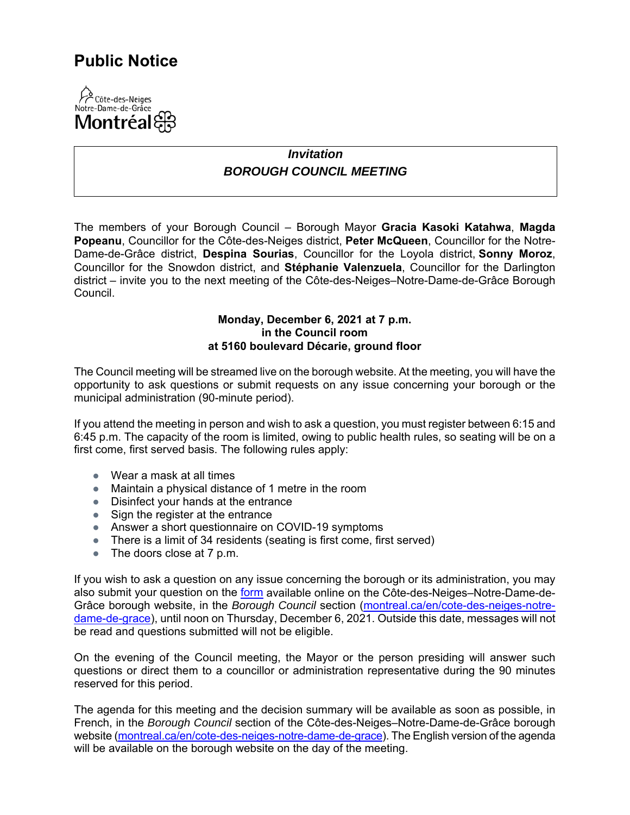## **Public Notice**



## *Invitation BOROUGH COUNCIL MEETING*

The members of your Borough Council – Borough Mayor **Gracia Kasoki Katahwa**, **Magda Popeanu**, Councillor for the Côte-des-Neiges district, **Peter McQueen**, Councillor for the Notre-Dame-de-Grâce district, **Despina Sourias**, Councillor for the Loyola district, **Sonny Moroz**, Councillor for the Snowdon district, and **Stéphanie Valenzuela**, Councillor for the Darlington district – invite you to the next meeting of the Côte-des-Neiges–Notre-Dame-de-Grâce Borough Council.

## **Monday, December 6, 2021 at 7 p.m. in the Council room at 5160 boulevard Décarie, ground floor**

The Council meeting will be streamed live on the borough website. At the meeting, you will have the opportunity to ask questions or submit requests on any issue concerning your borough or the municipal administration (90-minute period).

If you attend the meeting in person and wish to ask a question, you must register between 6:15 and 6:45 p.m. The capacity of the room is limited, owing to public health rules, so seating will be on a first come, first served basis. The following rules apply:

- Wear a mask at all times
- Maintain a physical distance of 1 metre in the room
- Disinfect your hands at the entrance
- Sign the register at the entrance
- Answer a short questionnaire on COVID-19 symptoms
- There is a limit of 34 residents (seating is first come, first served)
- The doors close at 7 p.m.

If you wish to ask a question on any issue concerning the borough or its administration, you may also submit your question on the [form](https://docs.google.com/forms/d/e/1FAIpQLSe3usx_r0kWjKcj7_8WLnAGLrb-iV6WhDXVadAkaDT41AV-3A/viewform?usp=pp_url) available online on the Côte-des-Neiges–Notre-Dame-de-Grâce borough website, in the *Borough Council* section [\(montreal.ca/en/cote-des-neiges-notre](https://montreal.ca/en/cote-des-neiges-notre-dame-de-grace)[dame-de-grace\)](https://montreal.ca/en/cote-des-neiges-notre-dame-de-grace), until noon on Thursday, December 6, 2021. Outside this date, messages will not be read and questions submitted will not be eligible.

On the evening of the Council meeting, the Mayor or the person presiding will answer such questions or direct them to a councillor or administration representative during the 90 minutes reserved for this period.

The agenda for this meeting and the decision summary will be available as soon as possible, in French, in the *Borough Council* section of the Côte-des-Neiges–Notre-Dame-de-Grâce borough website ([montreal.ca/en/cote-des-neiges-notre-dame-de-grace\)](https://montreal.ca/en/cote-des-neiges-notre-dame-de-grace). The English version of the agenda will be available on the borough website on the day of the meeting.